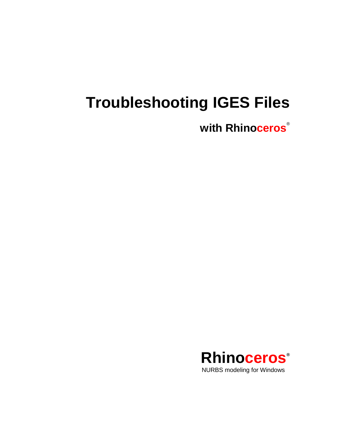# **Troubleshooting IGES Files**

**with Rhinoceros** ®

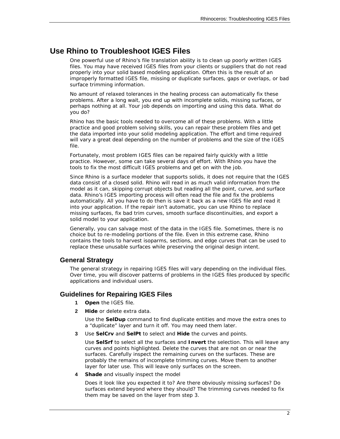## **Use Rhino to Troubleshoot IGES Files**

One powerful use of Rhino's file translation ability is to clean up poorly written IGES files. You may have received IGES files from your clients or suppliers that do not read properly into your solid based modeling application. Often this is the result of an improperly formatted IGES file, missing or duplicate surfaces, gaps or overlaps, or bad surface trimming information.

No amount of relaxed tolerances in the healing process can automatically fix these problems. After a long wait, you end up with incomplete solids, missing surfaces, or perhaps nothing at all. Your job depends on importing and using this data. What do you do?

Rhino has the basic tools needed to overcome all of these problems. With a little practice and good problem solving skills, you can repair these problem files and get the data imported into your solid modeling application. The effort and time required will vary a great deal depending on the number of problems and the size of the IGES file.

Fortunately, most problem IGES files can be repaired fairly quickly with a little practice. However, some can take several days of effort. With Rhino you have the tools to fix the most difficult IGES problems and get on with the job.

Since Rhino is a surface modeler that supports solids, it does not require that the IGES data consist of a closed solid. Rhino will read in as much valid information from the model as it can, skipping corrupt objects but reading all the point, curve, and surface data. Rhino's IGES importing process will often read the file and fix the problems automatically. All you have to do then is save it back as a new IGES file and read it into your application. If the repair isn't automatic, you can use Rhino to replace missing surfaces, fix bad trim curves, smooth surface discontinuities, and export a solid model to your application.

Generally, you can salvage most of the data in the IGES file. Sometimes, there is no choice but to re-modeling portions of the file. Even in this extreme case, Rhino contains the tools to harvest isoparms, sections, and edge curves that can be used to replace these unusable surfaces while preserving the original design intent.

## **General Strategy**

The general strategy in repairing IGES files will vary depending on the individual files. Over time, you will discover patterns of problems in the IGES files produced by specific applications and individual users.

## **Guidelines for Repairing IGES Files**

- **1 Open** the IGES file.
- **2 Hide** or delete extra data.

Use the **SelDup** command to find duplicate entities and move the extra ones to a "duplicate" layer and turn it off. You may need them later.

**3** Use **SelCrv** and **SelPt** to select and **Hide** the curves and points.

 Use **SelSrf** to select all the surfaces and **Invert** the selection. This will leave any curves and points highlighted. Delete the curves that are not on or near the surfaces. Carefully inspect the remaining curves on the surfaces. These are probably the remains of incomplete trimming curves. Move them to another layer for later use. This will leave only surfaces on the screen.

**4 Shade** and visually inspect the model

Does it look like you expected it to? Are there obviously missing surfaces? Do surfaces extend beyond where they should? The trimming curves needed to fix them may be saved on the layer from step 3.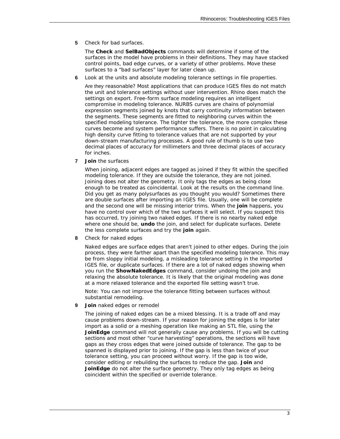**5** Check for bad surfaces.

The **Check** and **SelBadObjects** commands will determine if some of the surfaces in the model have problems in their definitions. They may have stacked control points, bad edge curves, or a variety of other problems. Move these surfaces to a "bad surfaces" layer for later clean up.

**6** Look at the units and absolute modeling tolerance settings in file properties.

Are they reasonable? Most applications that can produce IGES files do not match the unit and tolerance settings without user intervention. Rhino does match the settings on export. Free-form surface modeling requires an intelligent compromise in modeling tolerance. NURBS curves are chains of polynomial expression segments joined by knots that carry continuity information between the segments. These segments are fitted to neighboring curves within the specified modeling tolerance. The tighter the tolerance, the more complex these curves become and system performance suffers. There is no point in calculating high density curve fitting to tolerance values that are not supported by your down-stream manufacturing processes. A good rule of thumb is to use two decimal places of accuracy for millimeters and three decimal places of accuracy for inches.

**7 Join** the surfaces

 When joining, adjacent edges are tagged as joined if they fit within the specified modeling tolerance. If they are outside the tolerance, they are not joined. Joining does not alter the geometry. It only tags the edges as being close enough to be treated as coincidental. Look at the results on the command line. Did you get as many polysurfaces as you thought you would? Sometimes there are double surfaces after importing an IGES file. Usually, one will be complete and the second one will be missing interior trims. When the **join** happens, you have no control over which of the two surfaces it will select. If you suspect this has occurred, try joining two naked edges. If there is no nearby naked edge where one should be, **undo** the join, and select for duplicate surfaces. Delete the less complete surfaces and try the **join** again.

**8** Check for naked edges

 Naked edges are surface edges that aren't joined to other edges. During the join process, they were farther apart than the specified modeling tolerance. This may be from sloppy initial modeling, a misleading tolerance setting in the imported IGES file, or duplicate surfaces. If there are a lot of naked edges showing when you run the **ShowNakedEdges** command, consider undoing the join and relaxing the absolute tolerance. It is likely that the original modeling was done at a more relaxed tolerance and the exported file setting wasn't true.

 *Note: You can not improve the tolerance fitting between surfaces without substantial remodeling.*

**9 Join** naked edges or remodel

 The joining of naked edges can be a mixed blessing. It is a trade off and may cause problems down-stream. If your reason for joining the edges is for later import as a solid or a meshing operation like making an STL file, using the **JoinEdge** command will not generally cause any problems. If you will be cutting sections and most other "curve harvesting" operations, the sections will have gaps as they cross edges that were joined outside of tolerance. The gap to be spanned is displayed prior to joining. If the gap is less than twice of your tolerance setting, you can proceed without worry. If the gap is too wide, consider editing or rebuilding the surfaces to reduce the gap. **Join** and **JoinEdge** do not alter the surface geometry. They only tag edges as being coincident within the specified or override tolerance.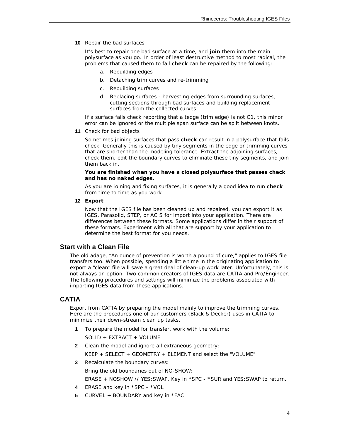**10** Repair the bad surfaces

 It's best to repair one bad surface at a time, and **join** them into the main polysurface as you go. In order of least destructive method to most radical, the problems that caused them to fail **check** can be repaired by the following:

- a. Rebuilding edges
- b. Detaching trim curves and re-trimming
- c. Rebuilding surfaces
- *d.* Replacing surfaces harvesting edges from surrounding surfaces, cutting sections through bad surfaces and building replacement surfaces from the collected curves.

 If a surface fails check reporting that a *tedge* (trim edge) is not G1, this minor error can be ignored or the multiple span surface can be split between knots.

**11** Check for bad objects

 Sometimes joining surfaces that pass **check** can result in a polysurface that fails check. Generally this is caused by tiny segments in the edge or trimming curves that are shorter than the modeling tolerance. Extract the adjoining surfaces, check them, edit the boundary curves to eliminate these tiny segments, and join them back in.

#### **You are finished when you have a closed polysurface that passes check and has no naked edges.**

 As you are joining and fixing surfaces, it is generally a good idea to run **check** from time to time as you work.

**12 Export**

 Now that the IGES file has been cleaned up and repaired, you can export it as IGES, Parasolid, STEP, or ACIS for import into your application. There are differences between these formats. Some applications differ in their support of these formats. Experiment with all that are support by your application to determine the best format for you needs.

## **Start with a Clean File**

The old adage, "An ounce of prevention is worth a pound of cure," applies to IGES file transfers too. When possible, spending a little time in the originating application to export a "clean" file will save a great deal of clean-up work later. Unfortunately, this is not always an option. Two common creators of IGES data are CATIA and Pro/Engineer. The following procedures and settings will minimize the problems associated with importing IGES data from these applications.

## **CATIA**

Export from CATIA by preparing the model mainly to improve the trimming curves. Here are the procedures one of our customers (Black & Decker) uses in CATIA to minimize their down-stream clean up tasks.

- **1** To prepare the model for transfer, work with the volume:
	- SOLID + EXTRACT + VOLUME
- **2** Clean the model and ignore all extraneous geometry:

KEEP + SELECT + GEOMETRY + ELEMENT and select the "VOLUME"

**3** Recalculate the boundary curves:

Bring the old boundaries out of NO-SHOW:

ERASE + NOSHOW // YES:SWAP. Key in \*SPC - \*SUR and YES:SWAP to return.

- **4** ERASE and key in \*SPC \*VOL
- **5** CURVE1 + BOUNDARY and key in \*FAC